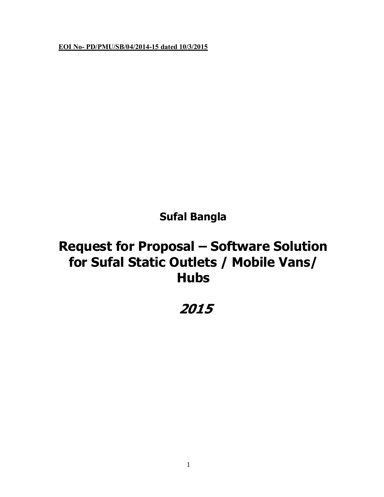**EOI No- PD/PMU/SB/04/2014-15 dated 10/3/2015**

**Sufal Bangla**

# **Request for Proposal – Software Solution for Sufal Static Outlets / Mobile Vans/ Hubs**

# **2015**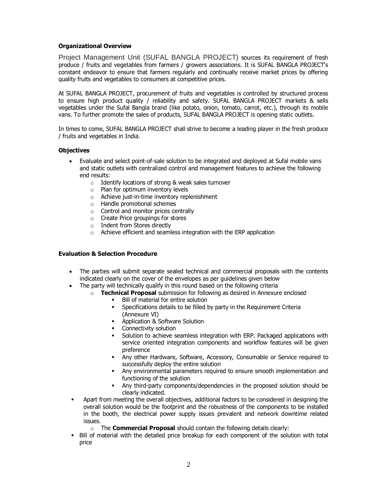# **Organizational Overview**

Project Management Unit (SUFAL BANGLA PROJECT) sources its requirement of fresh produce / fruits and vegetables from farmers / growers associations. It is SUFAL BANGLA PROJECT's constant endeavor to ensure that farmers regularly and continually receive market prices by offering quality fruits and vegetables to consumers at competitive prices.

At SUFAL BANGLA PROJECT, procurement of fruits and vegetables is controlled by structured process to ensure high product quality / reliability and safety. SUFAL BANGLA PROJECT markets & sells vegetables under the Sufal Bangla brand (like potato, onion, tomato, carrot, etc.), through its mobile vans. To further promote the sales of products, SUFAL BANGLA PROJECT is opening static outlets.

In times to come, SUFAL BANGLA PROJECT shall strive to become a leading player in the fresh produce / fruits and vegetables in India.

# **Objectives**

- · Evaluate and select point-of-sale solution to be integrated and deployed at Sufal mobile vans and static outlets with centralized control and management features to achieve the following end results:
	- o Identify locations of strong & weak sales turnover
	- o Plan for optimum inventory levels
	- o Achieve just-in-time inventory replenishment
	- o Handle promotional schemes
	- o Control and monitor prices centrally
	- o Create Price groupings for stores
	- o Indent from Stores directly
	- o Achieve efficient and seamless integration with the ERP application

# **Evaluation & Selection Procedure**

- · The parties will submit separate sealed technical and commercial proposals with the contents indicated clearly on the cover of the envelopes as per guidelines given below
- The party will technically qualify in this round based on the following criteria
	- o **Technical Proposal** submission for following as desired in Annexure enclosed
		- Bill of material for entire solution
		- **Specifications details to be filled by party in the Requirement Criteria** (Annexure VI)
		- ß Application & Software Solution
		- ß Connectivity solution
		- **Solution to achieve seamless integration with ERP. Packaged applications with** service oriented integration components and workflow features will be given preference
		- Any other Hardware, Software, Accessory, Consumable or Service required to successfully deploy the entire solution
		- ß Any environmental parameters required to ensure smooth implementation and functioning of the solution
		- ß Any third-party components/dependencies in the proposed solution should be clearly indicated.
- ß Apart from meeting the overall objectives, additional factors to be considered in designing the overall solution would be the footprint and the robustness of the components to be installed in the booth, the electrical power supply issues prevalent and network downtime related issues.
	- o The **Commercial Proposal** should contain the following details clearly:
- Bill of material with the detailed price breakup for each component of the solution with total price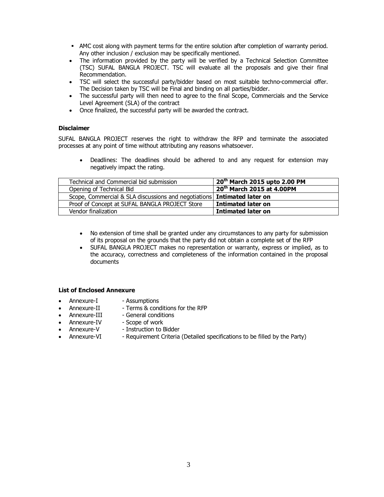- AMC cost along with payment terms for the entire solution after completion of warranty period. Any other inclusion / exclusion may be specifically mentioned.
- · The information provided by the party will be verified by a Technical Selection Committee (TSC) SUFAL BANGLA PROJECT. TSC will evaluate all the proposals and give their final Recommendation.
- · TSC will select the successful party/bidder based on most suitable techno-commercial offer. The Decision taken by TSC will be Final and binding on all parties/bidder.
- · The successful party will then need to agree to the final Scope, Commercials and the Service Level Agreement (SLA) of the contract
- · Once finalized, the successful party will be awarded the contract.

# **Disclaimer**

SUFAL BANGLA PROJECT reserves the right to withdraw the RFP and terminate the associated processes at any point of time without attributing any reasons whatsoever.

· Deadlines: The deadlines should be adhered to and any request for extension may negatively impact the rating.

| Technical and Commercial bid submission                                        | 20 <sup>th</sup> March 2015 upto 2.00 PM |
|--------------------------------------------------------------------------------|------------------------------------------|
| Opening of Technical Bid                                                       | 20 <sup>th</sup> March 2015 at 4.00PM    |
| Scope, Commercial & SLA discussions and negotiations <b>Intimated later on</b> |                                          |
| Proof of Concept at SUFAL BANGLA PROJECT Store                                 | Intimated later on                       |
| Vendor finalization                                                            | Intimated later on                       |

- · No extension of time shall be granted under any circumstances to any party for submission of its proposal on the grounds that the party did not obtain a complete set of the RFP
- · SUFAL BANGLA PROJECT makes no representation or warranty, express or implied, as to the accuracy, correctness and completeness of the information contained in the proposal documents

#### **List of Enclosed Annexure**

- Annexure-I Assumptions
- 
- Annexure-II Terms & conditions for the RFP
- Annexure-III General conditions
- - Annexure-IV Scope of work
	- Annexure-V Instruction to Bidder
- - Annexure-VI Requirement Criteria (Detailed specifications to be filled by the Party)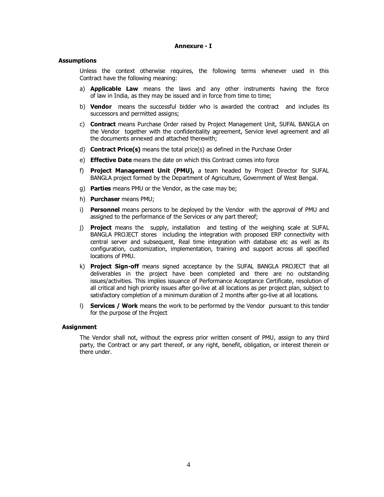#### **Annexure - I**

#### **Assumptions**

Unless the context otherwise requires, the following terms whenever used in this Contract have the following meaning:

- a) **Applicable Law** means the laws and any other instruments having the force of law in India, as they may be issued and in force from time to time;
- b) **Vendor** means the successful bidder who is awarded the contract and includes its successors and permitted assigns;
- c) **Contract** means Purchase Order raised by Project Management Unit, SUFAL BANGLA on the Vendor together with the confidentiality agreement, Service level agreement and all the documents annexed and attached therewith;
- d) **Contract Price(s)** means the total price(s) as defined in the Purchase Order
- e) **Effective Date** means the date on which this Contract comes into force
- f) **Project Management Unit (PMU),** a team headed by Project Director for SUFAL BANGLA project formed by the Department of Agriculture, Government of West Bengal.
- g) **Parties** means PMU or the Vendor, as the case may be;
- h) **Purchaser** means PMU;
- i) **Personnel** means persons to be deployed by the Vendor with the approval of PMU and assigned to the performance of the Services or any part thereof;
- j) **Project** means the supply, installation and testing of the weighing scale at SUFAL BANGLA PROJECT stores including the integration with proposed ERP connectivity with central server and subsequent, Real time integration with database etc as well as its configuration, customization, implementation, training and support across all specified locations of PMU.
- k) **Project Sign-off** means signed acceptance by the SUFAL BANGLA PROJECT that all deliverables in the project have been completed and there are no outstanding issues/activities. This implies issuance of Performance Acceptance Certificate, resolution of all critical and high priority issues after go-live at all locations as per project plan, subject to satisfactory completion of a minimum duration of 2 months after go-live at all locations.
- l) **Services / Work** means the work to be performed by the Vendor pursuant to this tender for the purpose of the Project

#### **Assignment**

The Vendor shall not, without the express prior written consent of PMU, assign to any third party, the Contract or any part thereof, or any right, benefit, obligation, or interest therein or there under.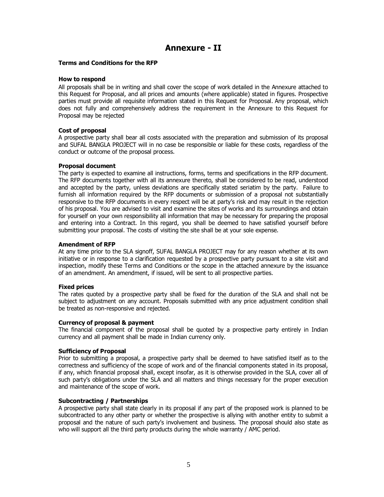# **Annexure - II**

#### **Terms and Conditions for the RFP**

#### **How to respond**

All proposals shall be in writing and shall cover the scope of work detailed in the Annexure attached to this Request for Proposal, and all prices and amounts (where applicable) stated in figures. Prospective parties must provide all requisite information stated in this Request for Proposal. Any proposal, which does not fully and comprehensively address the requirement in the Annexure to this Request for Proposal may be rejected

#### **Cost of proposal**

A prospective party shall bear all costs associated with the preparation and submission of its proposal and SUFAL BANGLA PROJECT will in no case be responsible or liable for these costs, regardless of the conduct or outcome of the proposal process.

#### **Proposal document**

The party is expected to examine all instructions, forms, terms and specifications in the RFP document. The RFP documents together with all its annexure thereto, shall be considered to be read, understood and accepted by the party, unless deviations are specifically stated seriatim by the party. Failure to furnish all information required by the RFP documents or submission of a proposal not substantially responsive to the RFP documents in every respect will be at party's risk and may result in the rejection of his proposal. You are advised to visit and examine the sites of works and its surroundings and obtain for yourself on your own responsibility all information that may be necessary for preparing the proposal and entering into a Contract. In this regard, you shall be deemed to have satisfied yourself before submitting your proposal. The costs of visiting the site shall be at your sole expense.

#### **Amendment of RFP**

At any time prior to the SLA signoff, SUFAL BANGLA PROJECT may for any reason whether at its own initiative or in response to a clarification requested by a prospective party pursuant to a site visit and inspection, modify these Terms and Conditions or the scope in the attached annexure by the issuance of an amendment. An amendment, if issued, will be sent to all prospective parties.

#### **Fixed prices**

The rates quoted by a prospective party shall be fixed for the duration of the SLA and shall not be subject to adjustment on any account. Proposals submitted with any price adjustment condition shall be treated as non-responsive and rejected.

#### **Currency of proposal & payment**

The financial component of the proposal shall be quoted by a prospective party entirely in Indian currency and all payment shall be made in Indian currency only.

# **Sufficiency of Proposal**

Prior to submitting a proposal, a prospective party shall be deemed to have satisfied itself as to the correctness and sufficiency of the scope of work and of the financial components stated in its proposal, if any, which financial proposal shall, except insofar, as it is otherwise provided in the SLA, cover all of such party's obligations under the SLA and all matters and things necessary for the proper execution and maintenance of the scope of work.

# **Subcontracting / Partnerships**

A prospective party shall state clearly in its proposal if any part of the proposed work is planned to be subcontracted to any other party or whether the prospective is allying with another entity to submit a proposal and the nature of such party's involvement and business. The proposal should also state as who will support all the third party products during the whole warranty / AMC period.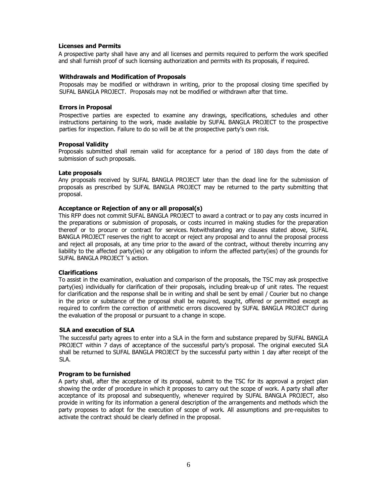#### **Licenses and Permits**

A prospective party shall have any and all licenses and permits required to perform the work specified and shall furnish proof of such licensing authorization and permits with its proposals, if required.

#### **Withdrawals and Modification of Proposals**

Proposals may be modified or withdrawn in writing, prior to the proposal closing time specified by SUFAL BANGLA PROJECT. Proposals may not be modified or withdrawn after that time.

#### **Errors in Proposal**

Prospective parties are expected to examine any drawings, specifications, schedules and other instructions pertaining to the work, made available by SUFAL BANGLA PROJECT to the prospective parties for inspection. Failure to do so will be at the prospective party's own risk.

#### **Proposal Validity**

Proposals submitted shall remain valid for acceptance for a period of 180 days from the date of submission of such proposals.

#### **Late proposals**

Any proposals received by SUFAL BANGLA PROJECT later than the dead line for the submission of proposals as prescribed by SUFAL BANGLA PROJECT may be returned to the party submitting that proposal.

#### **Acceptance or Rejection of any or all proposal(s)**

This RFP does not commit SUFAL BANGLA PROJECT to award a contract or to pay any costs incurred in the preparations or submission of proposals, or costs incurred in making studies for the preparation thereof or to procure or contract for services. Notwithstanding any clauses stated above, SUFAL BANGLA PROJECT reserves the right to accept or reject any proposal and to annul the proposal process and reject all proposals, at any time prior to the award of the contract, without thereby incurring any liability to the affected party(ies) or any obligation to inform the affected party(ies) of the grounds for SUFAL BANGLA PROJECT 's action.

# **Clarifications**

To assist in the examination, evaluation and comparison of the proposals, the TSC may ask prospective party(ies) individually for clarification of their proposals, including break-up of unit rates. The request for clarification and the response shall be in writing and shall be sent by email / Courier but no change in the price or substance of the proposal shall be required, sought, offered or permitted except as required to confirm the correction of arithmetic errors discovered by SUFAL BANGLA PROJECT during the evaluation of the proposal or pursuant to a change in scope.

# **SLA and execution of SLA**

The successful party agrees to enter into a SLA in the form and substance prepared by SUFAL BANGLA PROJECT within 7 days of acceptance of the successful party's proposal. The original executed SLA shall be returned to SUFAL BANGLA PROJECT by the successful party within 1 day after receipt of the SLA.

#### **Program to be furnished**

A party shall, after the acceptance of its proposal, submit to the TSC for its approval a project plan showing the order of procedure in which it proposes to carry out the scope of work. A party shall after acceptance of its proposal and subsequently, whenever required by SUFAL BANGLA PROJECT, also provide in writing for its information a general description of the arrangements and methods which the party proposes to adopt for the execution of scope of work. All assumptions and pre-requisites to activate the contract should be clearly defined in the proposal.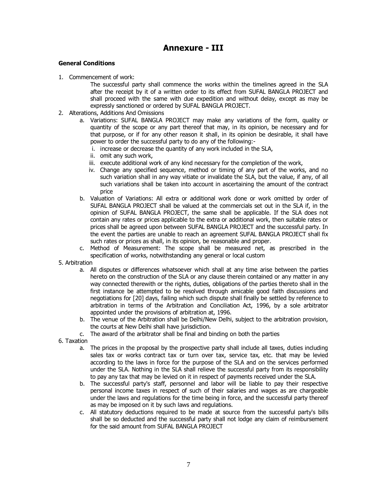# **Annexure - III**

# **General Conditions**

1. Commencement of work:

The successful party shall commence the works within the timelines agreed in the SLA after the receipt by it of a written order to its effect from SUFAL BANGLA PROJECT and shall proceed with the same with due expedition and without delay, except as may be expressly sanctioned or ordered by SUFAL BANGLA PROJECT.

- 2. Alterations, Additions And Omissions
	- a. Variations: SUFAL BANGLA PROJECT may make any variations of the form, quality or quantity of the scope or any part thereof that may, in its opinion, be necessary and for that purpose, or if for any other reason it shall, in its opinion be desirable, it shall have power to order the successful party to do any of the following:
		- i. increase or decrease the quantity of any work included in the SLA,
		- ii. omit any such work,
		- iii. execute additional work of any kind necessary for the completion of the work,
		- iv. Change any specified sequence, method or timing of any part of the works, and no such variation shall in any way vitiate or invalidate the SLA, but the value, if any, of all such variations shall be taken into account in ascertaining the amount of the contract price
	- b. Valuation of Variations: All extra or additional work done or work omitted by order of SUFAL BANGLA PROJECT shall be valued at the commercials set out in the SLA if, in the opinion of SUFAL BANGLA PROJECT, the same shall be applicable. If the SLA does not contain any rates or prices applicable to the extra or additional work, then suitable rates or prices shall be agreed upon between SUFAL BANGLA PROJECT and the successful party. In the event the parties are unable to reach an agreement SUFAL BANGLA PROJECT shall fix such rates or prices as shall, in its opinion, be reasonable and proper.
	- c. Method of Measurement: The scope shall be measured net, as prescribed in the specification of works, notwithstanding any general or local custom
- 5. Arbitration
	- a. All disputes or differences whatsoever which shall at any time arise between the parties hereto on the construction of the SLA or any clause therein contained or any matter in any way connected therewith or the rights, duties, obligations of the parties thereto shall in the first instance be attempted to be resolved through amicable good faith discussions and negotiations for [20] days, failing which such dispute shall finally be settled by reference to arbitration in terms of the Arbitration and Conciliation Act, 1996, by a sole arbitrator appointed under the provisions of arbitration at, 1996.
	- b. The venue of the Arbitration shall be Delhi/New Delhi, subject to the arbitration provision, the courts at New Delhi shall have jurisdiction.
	- c. The award of the arbitrator shall be final and binding on both the parties
- 6. Taxation
	- a. The prices in the proposal by the prospective party shall include all taxes, duties including sales tax or works contract tax or turn over tax, service tax, etc. that may be levied according to the laws in force for the purpose of the SLA and on the services performed under the SLA. Nothing in the SLA shall relieve the successful party from its responsibility to pay any tax that may be levied on it in respect of payments received under the SLA.
	- b. The successful party's staff, personnel and labor will be liable to pay their respective personal income taxes in respect of such of their salaries and wages as are chargeable under the laws and regulations for the time being in force, and the successful party thereof as may be imposed on it by such laws and regulations.
	- c. All statutory deductions required to be made at source from the successful party's bills shall be so deducted and the successful party shall not lodge any claim of reimbursement for the said amount from SUFAL BANGLA PROJECT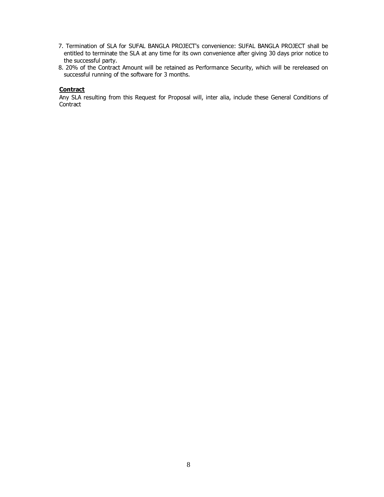- 7. Termination of SLA for SUFAL BANGLA PROJECT's convenience: SUFAL BANGLA PROJECT shall be entitled to terminate the SLA at any time for its own convenience after giving 30 days prior notice to the successful party.
- 8. 20% of the Contract Amount will be retained as Performance Security, which will be rereleased on successful running of the software for 3 months.

# **Contract**

Any SLA resulting from this Request for Proposal will, inter alia, include these General Conditions of **Contract**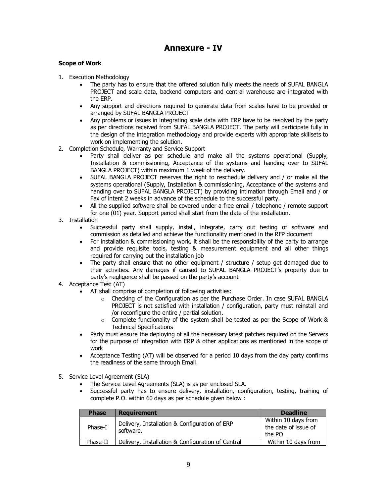# **Annexure - IV**

# **Scope of Work**

- 1. Execution Methodology
	- The party has to ensure that the offered solution fully meets the needs of SUFAL BANGLA PROJECT and scale data, backend computers and central warehouse are integrated with the ERP.
	- · Any support and directions required to generate data from scales have to be provided or arranged by SUFAL BANGLA PROJECT
	- · Any problems or issues in integrating scale data with ERP have to be resolved by the party as per directions received from SUFAL BANGLA PROJECT. The party will participate fully in the design of the integration methodology and provide experts with appropriate skillsets to work on implementing the solution.
- 2. Completion Schedule, Warranty and Service Support
	- Party shall deliver as per schedule and make all the systems operational (Supply, Installation & commissioning, Acceptance of the systems and handing over to SUFAL BANGLA PROJECT) within maximum 1 week of the delivery.
	- · SUFAL BANGLA PROJECT reserves the right to reschedule delivery and / or make all the systems operational (Supply, Installation & commissioning, Acceptance of the systems and handing over to SUFAL BANGLA PROJECT) by providing intimation through Email and / or Fax of intent 2 weeks in advance of the schedule to the successful party.
	- · All the supplied software shall be covered under a free email / telephone / remote support for one (01) year. Support period shall start from the date of the installation.
- 3. Installation
	- Successful party shall supply, install, integrate, carry out testing of software and commission as detailed and achieve the functionality mentioned in the RFP document
	- · For installation & commissioning work, it shall be the responsibility of the party to arrange and provide requisite tools, testing & measurement equipment and all other things required for carrying out the installation job
	- The party shall ensure that no other equipment / structure / setup get damaged due to their activities. Any damages if caused to SUFAL BANGLA PROJECT's property due to party's negligence shall be passed on the party's account
- 4. Acceptance Test (AT)
	- · AT shall comprise of completion of following activities:
		- o Checking of the Configuration as per the Purchase Order. In case SUFAL BANGLA PROJECT is not satisfied with installation / configuration, party must reinstall and /or reconfigure the entire / partial solution.
		- $\circ$  Complete functionality of the system shall be tested as per the Scope of Work & Technical Specifications
	- Party must ensure the deploying of all the necessary latest patches required on the Servers for the purpose of integration with ERP & other applications as mentioned in the scope of work
	- · Acceptance Testing (AT) will be observed for a period 10 days from the day party confirms the readiness of the same through Email.
- 5. Service Level Agreement (SLA)
	- · The Service Level Agreements (SLA) is as per enclosed SLA.
	- Successful party has to ensure delivery, installation, configuration, testing, training of complete P.O. within 60 days as per schedule given below :

| <b>Phase</b> | <b>Requirement</b>                                         | <b>Deadline</b>                                       |
|--------------|------------------------------------------------------------|-------------------------------------------------------|
| Phase-I      | Delivery, Installation & Configuration of ERP<br>software. | Within 10 days from<br>the date of issue of<br>the PO |
| Phase-II     | Delivery, Installation & Configuration of Central          | Within 10 days from                                   |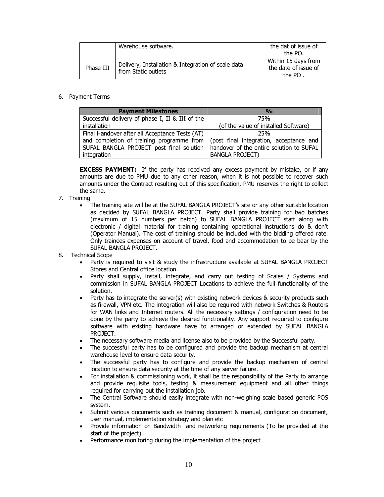|           | Warehouse software.                                                       | the dat of issue of<br>the PO.                            |
|-----------|---------------------------------------------------------------------------|-----------------------------------------------------------|
| Phase-III | Delivery, Installation & Integration of scale data<br>from Static outlets | Within 15 days from<br>the date of issue of<br>the $PO$ . |

# 6. Payment Terms

| <b>Payment Milestones</b>                       | $\frac{0}{0}$                            |
|-------------------------------------------------|------------------------------------------|
| Successful delivery of phase I, II & III of the | 75%                                      |
| installation                                    | (of the value of installed Software)     |
| Final Handover after all Acceptance Tests (AT)  | 25%                                      |
| and completion of training programme from       | (post final integration, acceptance and  |
| SUFAL BANGLA PROJECT post final solution        | handover of the entire solution to SUFAL |
| integration                                     | <b>BANGLA PROJECT)</b>                   |

**EXCESS PAYMENT:** If the party has received any excess payment by mistake, or if any amounts are due to PMU due to any other reason, when it is not possible to recover such amounts under the Contract resulting out of this specification, PMU reserves the right to collect the same.

# 7. Training

- · The training site will be at the SUFAL BANGLA PROJECT's site or any other suitable location as decided by SUFAL BANGLA PROJECT. Party shall provide training for two batches (maximum of 15 numbers per batch) to SUFAL BANGLA PROJECT staff along with electronic / digital material for training containing operational instructions do & don't (Operator Manual). The cost of training should be included with the bidding offered rate. Only trainees expenses on account of travel, food and accommodation to be bear by the SUFAL BANGLA PROJECT.
- 8. Technical Scope
	- Party is required to visit & study the infrastructure available at SUFAL BANGLA PROJECT Stores and Central office location.
	- Party shall supply, install, integrate, and carry out testing of Scales / Systems and commission in SUFAL BANGLA PROJECT Locations to achieve the full functionality of the solution.
	- Party has to integrate the server(s) with existing network devices & security products such as firewall, VPN etc. The integration will also be required with network Switches & Routers for WAN links and Internet routers. All the necessary settings / configuration need to be done by the party to achieve the desired functionality. Any support required to configure software with existing hardware have to arranged or extended by SUFAL BANGLA PROJECT.
	- · The necessary software media and license also to be provided by the Successful party.
	- The successful party has to be configured and provide the backup mechanism at central warehouse level to ensure data security.
	- · The successful party has to configure and provide the backup mechanism of central location to ensure data security at the time of any server failure.
	- · For installation & commissioning work, it shall be the responsibility of the Party to arrange and provide requisite tools, testing & measurement equipment and all other things required for carrying out the installation job.
	- · The Central Software should easily integrate with non-weighing scale based generic POS system.
	- Submit various documents such as training document & manual, configuration document, user manual, implementation strategy and plan etc
	- · Provide information on Bandwidth and networking requirements (To be provided at the start of the project)
	- Performance monitoring during the implementation of the project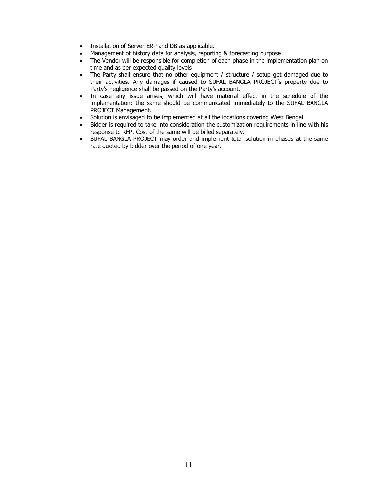- · Installation of Server ERP and DB as applicable.
- Management of history data for analysis, reporting & forecasting purpose
- · The Vendor will be responsible for completion of each phase in the implementation plan on time and as per expected quality levels
- The Party shall ensure that no other equipment / structure / setup get damaged due to their activities. Any damages if caused to SUFAL BANGLA PROJECT's property due to Party's negligence shall be passed on the Party's account.
- · In case any issue arises, which will have material effect in the schedule of the implementation; the same should be communicated immediately to the SUFAL BANGLA PROJECT Management.
- Solution is envisaged to be implemented at all the locations covering West Bengal.
- Bidder is required to take into consideration the customization requirements in line with his response to RFP. Cost of the same will be billed separately.
- · SUFAL BANGLA PROJECT may order and implement total solution in phases at the same rate quoted by bidder over the period of one year.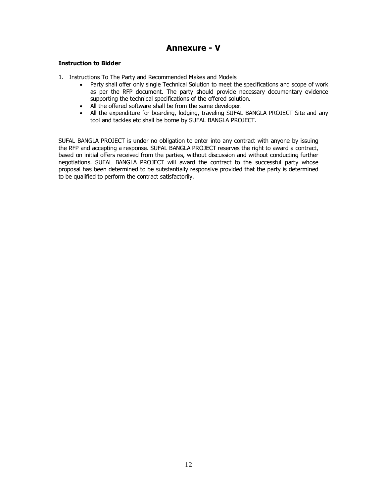# **Annexure - V**

# **Instruction to Bidder**

- 1. Instructions To The Party and Recommended Makes and Models
	- · Party shall offer only single Technical Solution to meet the specifications and scope of work as per the RFP document. The party should provide necessary documentary evidence supporting the technical specifications of the offered solution.
	- · All the offered software shall be from the same developer.
	- · All the expenditure for boarding, lodging, traveling SUFAL BANGLA PROJECT Site and any tool and tackles etc shall be borne by SUFAL BANGLA PROJECT.

SUFAL BANGLA PROJECT is under no obligation to enter into any contract with anyone by issuing the RFP and accepting a response. SUFAL BANGLA PROJECT reserves the right to award a contract, based on initial offers received from the parties, without discussion and without conducting further negotiations. SUFAL BANGLA PROJECT will award the contract to the successful party whose proposal has been determined to be substantially responsive provided that the party is determined to be qualified to perform the contract satisfactorily.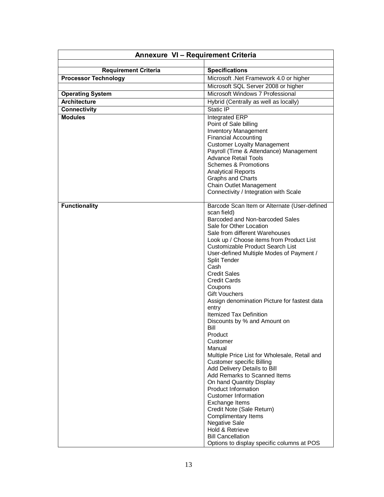| Annexure VI - Requirement Criteria             |                                                                                                                                                                                                                                                                                                                                                                                                                                                                                                                                                                                                                                                                                                                                                                                                                                                                                                                                                                                                        |
|------------------------------------------------|--------------------------------------------------------------------------------------------------------------------------------------------------------------------------------------------------------------------------------------------------------------------------------------------------------------------------------------------------------------------------------------------------------------------------------------------------------------------------------------------------------------------------------------------------------------------------------------------------------------------------------------------------------------------------------------------------------------------------------------------------------------------------------------------------------------------------------------------------------------------------------------------------------------------------------------------------------------------------------------------------------|
|                                                |                                                                                                                                                                                                                                                                                                                                                                                                                                                                                                                                                                                                                                                                                                                                                                                                                                                                                                                                                                                                        |
| <b>Requirement Criteria</b>                    | <b>Specifications</b>                                                                                                                                                                                                                                                                                                                                                                                                                                                                                                                                                                                                                                                                                                                                                                                                                                                                                                                                                                                  |
| <b>Processor Technology</b>                    | Microsoft .Net Framework 4.0 or higher                                                                                                                                                                                                                                                                                                                                                                                                                                                                                                                                                                                                                                                                                                                                                                                                                                                                                                                                                                 |
|                                                | Microsoft SQL Server 2008 or higher<br>Microsoft Windows 7 Professional                                                                                                                                                                                                                                                                                                                                                                                                                                                                                                                                                                                                                                                                                                                                                                                                                                                                                                                                |
| <b>Operating System</b><br><b>Architecture</b> |                                                                                                                                                                                                                                                                                                                                                                                                                                                                                                                                                                                                                                                                                                                                                                                                                                                                                                                                                                                                        |
| <b>Connectivity</b>                            | Hybrid (Centrally as well as locally)<br>Static IP                                                                                                                                                                                                                                                                                                                                                                                                                                                                                                                                                                                                                                                                                                                                                                                                                                                                                                                                                     |
| <b>Modules</b>                                 |                                                                                                                                                                                                                                                                                                                                                                                                                                                                                                                                                                                                                                                                                                                                                                                                                                                                                                                                                                                                        |
|                                                | Integrated ERP<br>Point of Sale billing<br><b>Inventory Management</b><br><b>Financial Accounting</b><br><b>Customer Loyalty Management</b><br>Payroll (Time & Attendance) Management<br><b>Advance Retail Tools</b><br><b>Schemes &amp; Promotions</b><br><b>Analytical Reports</b><br>Graphs and Charts<br>Chain Outlet Management<br>Connectivity / Integration with Scale                                                                                                                                                                                                                                                                                                                                                                                                                                                                                                                                                                                                                          |
| <b>Functionality</b>                           | Barcode Scan Item or Alternate (User-defined<br>scan field)<br>Barcoded and Non-barcoded Sales<br>Sale for Other Location<br>Sale from different Warehouses<br>Look up / Choose items from Product List<br>Customizable Product Search List<br>User-defined Multiple Modes of Payment /<br>Split Tender<br>Cash<br><b>Credit Sales</b><br><b>Credit Cards</b><br>Coupons<br><b>Gift Vouchers</b><br>Assign denomination Picture for fastest data<br>entry<br><b>Itemized Tax Definition</b><br>Discounts by % and Amount on<br>Bill<br>Product<br>Customer<br>Manual<br>Multiple Price List for Wholesale, Retail and<br><b>Customer specific Billing</b><br>Add Delivery Details to Bill<br>Add Remarks to Scanned Items<br>On hand Quantity Display<br>Product Information<br><b>Customer Information</b><br>Exchange Items<br>Credit Note (Sale Return)<br><b>Complimentary Items</b><br>Negative Sale<br>Hold & Retrieve<br><b>Bill Cancellation</b><br>Options to display specific columns at POS |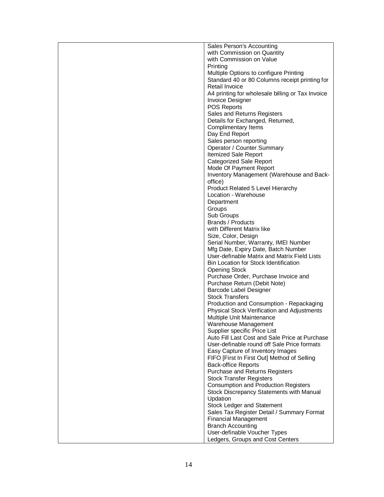| Sales Person's Accounting                        |
|--------------------------------------------------|
| with Commission on Quantity                      |
| with Commission on Value                         |
| Printing                                         |
| Multiple Options to configure Printing           |
| Standard 40 or 80 Columns receipt printing for   |
| Retail Invoice                                   |
| A4 printing for wholesale billing or Tax Invoice |
| <b>Invoice Designer</b>                          |
| <b>POS Reports</b>                               |
| Sales and Returns Registers                      |
| Details for Exchanged, Returned,                 |
| <b>Complimentary Items</b>                       |
| Day End Report                                   |
| Sales person reporting                           |
| Operator / Counter Summary                       |
| <b>Itemized Sale Report</b>                      |
| <b>Categorized Sale Report</b>                   |
| Mode Of Payment Report                           |
| Inventory Management (Warehouse and Back-        |
| office)                                          |
| Product Related 5 Level Hierarchy                |
| Location - Warehouse                             |
| Department                                       |
| Groups                                           |
| Sub Groups                                       |
| Brands / Products                                |
| with Different Matrix like                       |
| Size, Color, Design                              |
| Serial Number, Warranty, IMEI Number             |
| Mfg Date, Expiry Date, Batch Number              |
| User-definable Matrix and Matrix Field Lists     |
| Bin Location for Stock Identification            |
| <b>Opening Stock</b>                             |
| Purchase Order, Purchase Invoice and             |
| Purchase Return (Debit Note)                     |
| Barcode Label Designer                           |
| Stock Transfers                                  |
| Production and Consumption - Repackaging         |
| Physical Stock Verification and Adjustments      |
| Multiple Unit Maintenance                        |
| Warehouse Management                             |
| Supplier specific Price List                     |
| Auto Fill Last Cost and Sale Price at Purchase   |
| User-definable round off Sale Price formats      |
| Easy Capture of Inventory Images                 |
| FIFO [First In First Out] Method of Selling      |
| <b>Back-office Reports</b>                       |
| Purchase and Returns Registers                   |
| <b>Stock Transfer Registers</b>                  |
|                                                  |
| <b>Consumption and Production Registers</b>      |
| Stock Discrepancy Statements with Manual         |
| Updation                                         |
| <b>Stock Ledger and Statement</b>                |
| Sales Tax Register Detail / Summary Format       |
| <b>Financial Management</b>                      |
| <b>Branch Accounting</b>                         |
| User-definable Voucher Types                     |
| Ledgers, Groups and Cost Centers                 |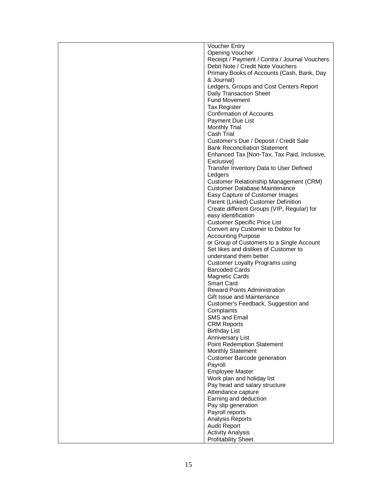| <b>Voucher Entry</b>                          |
|-----------------------------------------------|
| Opening Voucher                               |
| Receipt / Payment / Contra / Journal Vouchers |
| Debit Note / Credit Note Vouchers             |
| Primary Books of Accounts (Cash, Bank, Day    |
| & Journal)                                    |
| Ledgers, Groups and Cost Centers Report       |
| <b>Daily Transaction Sheet</b>                |
| <b>Fund Movement</b>                          |
| <b>Tax Register</b>                           |
| <b>Confirmation of Accounts</b>               |
| Payment Due List                              |
| <b>Monthly Trial</b>                          |
| Cash Trial                                    |
| Customer's Due / Deposit / Credit Sale        |
| <b>Bank Reconciliation Statement</b>          |
| Enhanced Tax [Non-Tax, Tax Paid, Inclusive,   |
| Exclusive]                                    |
| Transfer Inventory Data to User Defined       |
| Ledgers                                       |
| Customer Relationship Management (CRM)        |
| <b>Customer Database Maintenance</b>          |
| Easy Capture of Customer Images               |
| Parent (Linked) Customer Definition           |
| Create different Groups (VIP, Regular) for    |
| easy identification                           |
| <b>Customer Specific Price List</b>           |
| Convert any Customer to Debtor for            |
| <b>Accounting Purpose</b>                     |
| or Group of Customers to a Single Account     |
| Set likes and dislikes of Customer to         |
| understand them better                        |
| Customer Loyalty Programs using               |
| <b>Barcoded Cards</b>                         |
| <b>Magnetic Cards</b>                         |
| <b>Smart Card</b>                             |
| <b>Reward Points Administration</b>           |
| Gift Issue and Maintenance                    |
| Customer's Feedback, Suggestion and           |
| Complaints                                    |
| <b>SMS and Email</b>                          |
| <b>CRM Reports</b>                            |
| <b>Birthday List</b>                          |
| Anniversary List                              |
| Point Redemption Statement                    |
| <b>Monthly Statement</b>                      |
| <b>Customer Barcode generation</b>            |
| Payroll                                       |
| <b>Employee Master</b>                        |
| Work plan and holiday list                    |
| Pay head and salary structure                 |
| Attendance capture                            |
| Earning and deduction                         |
| Pay slip generation                           |
| Payroll reports                               |
| Analysis Reports                              |
| <b>Audit Report</b>                           |
| <b>Activity Analysis</b>                      |
| <b>Profitability Sheet</b>                    |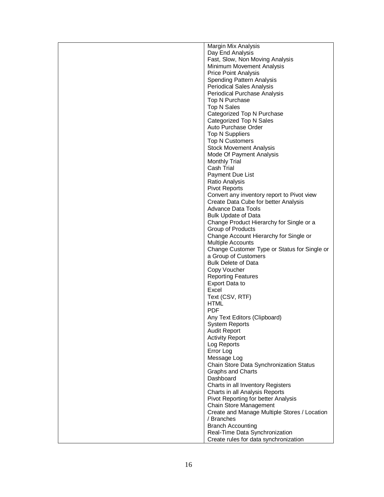| Margin Mix Analysis                          |
|----------------------------------------------|
| Day End Analysis                             |
| Fast, Slow, Non Moving Analysis              |
| Minimum Movement Analysis                    |
| <b>Price Point Analysis</b>                  |
| <b>Spending Pattern Analysis</b>             |
| <b>Periodical Sales Analysis</b>             |
| Periodical Purchase Analysis                 |
| Top N Purchase                               |
| Top N Sales                                  |
| Categorized Top N Purchase                   |
| Categorized Top N Sales                      |
| Auto Purchase Order                          |
| <b>Top N Suppliers</b>                       |
| <b>Top N Customers</b>                       |
| <b>Stock Movement Analysis</b>               |
| Mode Of Payment Analysis                     |
| <b>Monthly Trial</b>                         |
| Cash Trial                                   |
| <b>Payment Due List</b>                      |
| Ratio Analysis                               |
| <b>Pivot Reports</b>                         |
| Convert any inventory report to Pivot view   |
| Create Data Cube for better Analysis         |
| Advance Data Tools                           |
| <b>Bulk Update of Data</b>                   |
| Change Product Hierarchy for Single or a     |
| Group of Products                            |
| Change Account Hierarchy for Single or       |
| Multiple Accounts                            |
| Change Customer Type or Status for Single or |
| a Group of Customers                         |
| <b>Bulk Delete of Data</b>                   |
| Copy Voucher                                 |
| <b>Reporting Features</b>                    |
| Export Data to                               |
| Excel                                        |
| Text (CSV, RTF)                              |
| <b>HTML</b>                                  |
| <b>PDF</b>                                   |
| Any Text Editors (Clipboard)                 |
| <b>System Reports</b>                        |
| <b>Audit Report</b>                          |
| <b>Activity Report</b>                       |
| Log Reports                                  |
| Error Log                                    |
| Message Log                                  |
| Chain Store Data Synchronization Status      |
| <b>Graphs and Charts</b>                     |
| Dashboard                                    |
| Charts in all Inventory Registers            |
| Charts in all Analysis Reports               |
| Pivot Reporting for better Analysis          |
| Chain Store Management                       |
| Create and Manage Multiple Stores / Location |
| / Branches                                   |
| <b>Branch Accounting</b>                     |
| Real-Time Data Synchronization               |
| Create rules for data synchronization        |